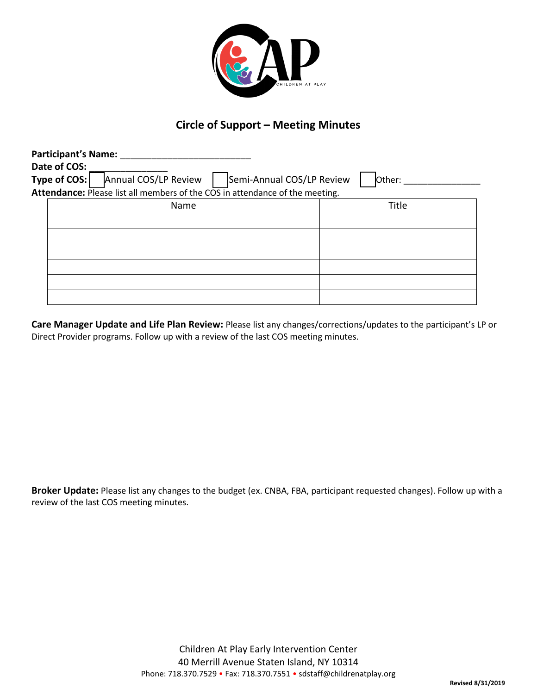

## **Circle of Support – Meeting Minutes**

| <b>Participant's Name:</b> |                                                                              |                                     |
|----------------------------|------------------------------------------------------------------------------|-------------------------------------|
| Date of COS:               |                                                                              |                                     |
| Type of $COS:$             | Annual COS/LP Review                                                         | Semi-Annual COS/LP Review<br>Other: |
|                            | Attendance: Please list all members of the COS in attendance of the meeting. |                                     |
|                            | Name                                                                         | Title                               |
|                            |                                                                              |                                     |
|                            |                                                                              |                                     |
|                            |                                                                              |                                     |

**Care Manager Update and Life Plan Review:** Please list any changes/corrections/updates to the participant's LP or Direct Provider programs. Follow up with a review of the last COS meeting minutes.

**Broker Update:** Please list any changes to the budget (ex. CNBA, FBA, participant requested changes). Follow up with a review of the last COS meeting minutes.